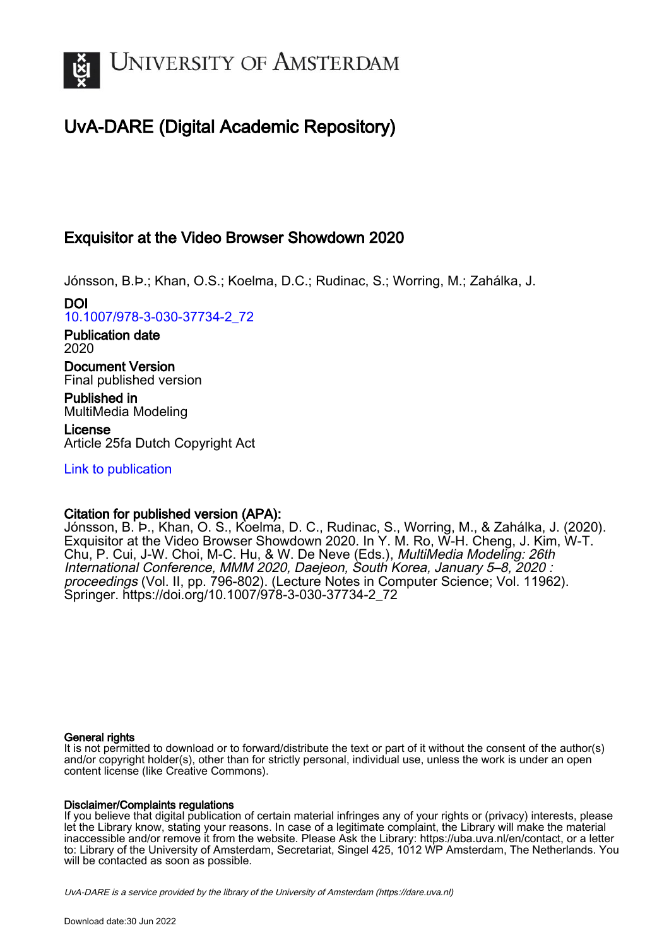

# UvA-DARE (Digital Academic Repository)

# Exquisitor at the Video Browser Showdown 2020

Jónsson, B.Þ.; Khan, O.S.; Koelma, D.C.; Rudinac, S.; Worring, M.; Zahálka, J.

DOI [10.1007/978-3-030-37734-2\\_72](https://doi.org/10.1007/978-3-030-37734-2_72)

Publication date 2020

Document Version Final published version

Published in MultiMedia Modeling

License Article 25fa Dutch Copyright Act

[Link to publication](https://dare.uva.nl/personal/pure/en/publications/exquisitor-at-the-video-browser-showdown-2020(8844fe16-6ab9-45a5-877e-1a7393c8eb15).html)

# Citation for published version (APA):

Jónsson, B. Þ., Khan, O. S., Koelma, D. C., Rudinac, S., Worring, M., & Zahálka, J. (2020). Exquisitor at the Video Browser Showdown 2020. In Y. M. Ro, W-H. Cheng, J. Kim, W-T. Chu, P. Cui, J-W. Choi, M-C. Hu, & W. De Neve (Eds.), MultiMedia Modeling: 26th International Conference, MMM 2020, Daejeon, South Korea, January 5–8, 2020 : proceedings (Vol. II, pp. 796-802). (Lecture Notes in Computer Science; Vol. 11962). Springer. [https://doi.org/10.1007/978-3-030-37734-2\\_72](https://doi.org/10.1007/978-3-030-37734-2_72)

#### General rights

It is not permitted to download or to forward/distribute the text or part of it without the consent of the author(s) and/or copyright holder(s), other than for strictly personal, individual use, unless the work is under an open content license (like Creative Commons).

#### Disclaimer/Complaints regulations

If you believe that digital publication of certain material infringes any of your rights or (privacy) interests, please let the Library know, stating your reasons. In case of a legitimate complaint, the Library will make the material inaccessible and/or remove it from the website. Please Ask the Library: https://uba.uva.nl/en/contact, or a letter to: Library of the University of Amsterdam, Secretariat, Singel 425, 1012 WP Amsterdam, The Netherlands. You will be contacted as soon as possible.

UvA-DARE is a service provided by the library of the University of Amsterdam (http*s*://dare.uva.nl)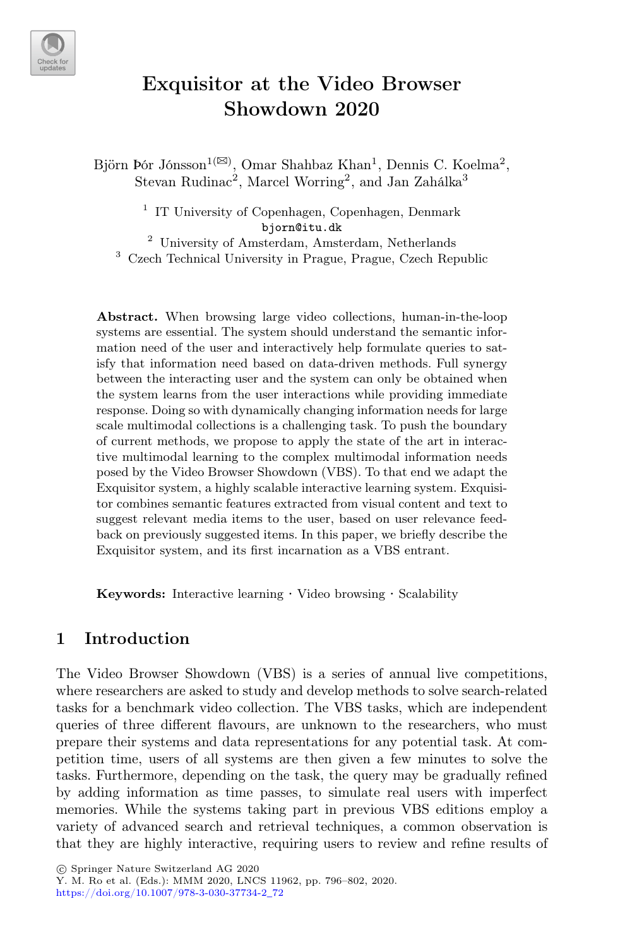

# Exquisitor at the Video Browser Showdown 2020

Björn Þór Jónsson $^{1(\boxtimes)}$ , Omar Shahbaz Khan $^1$ , Dennis C. Koelma $^2,$ Stevan Rudinac<sup>2</sup>, Marcel Worring<sup>2</sup>, and Jan Zahálka<sup>3</sup>

> <sup>1</sup> IT University of Copenhagen, Copenhagen, Denmark bjorn@itu.dk

<sup>2</sup> University of Amsterdam, Amsterdam, Netherlands <sup>3</sup> Czech Technical University in Prague, Prague, Czech Republic

Abstract. When browsing large video collections, human-in-the-loop systems are essential. The system should understand the semantic information need of the user and interactively help formulate queries to satisfy that information need based on data-driven methods. Full synergy between the interacting user and the system can only be obtained when the system learns from the user interactions while providing immediate response. Doing so with dynamically changing information needs for large scale multimodal collections is a challenging task. To push the boundary of current methods, we propose to apply the state of the art in interactive multimodal learning to the complex multimodal information needs posed by the Video Browser Showdown (VBS). To that end we adapt the Exquisitor system, a highly scalable interactive learning system. Exquisitor combines semantic features extracted from visual content and text to suggest relevant media items to the user, based on user relevance feedback on previously suggested items. In this paper, we briefly describe the Exquisitor system, and its first incarnation as a VBS entrant.

Keywords: Interactive learning *·* Video browsing *·* Scalability

### 1 Introduction

The Video Browser Showdown (VBS) is a series of annual live competitions, where researchers are asked to study and develop methods to solve search-related tasks for a benchmark video collection. The VBS tasks, which are independent queries of three different flavours, are unknown to the researchers, who must prepare their systems and data representations for any potential task. At competition time, users of all systems are then given a few minutes to solve the tasks. Furthermore, depending on the task, the query may be gradually refined by adding information as time passes, to simulate real users with imperfect memories. While the systems taking part in previous VBS editions employ a variety of advanced search and retrieval techniques, a common observation is that they are highly interactive, requiring users to review and refine results of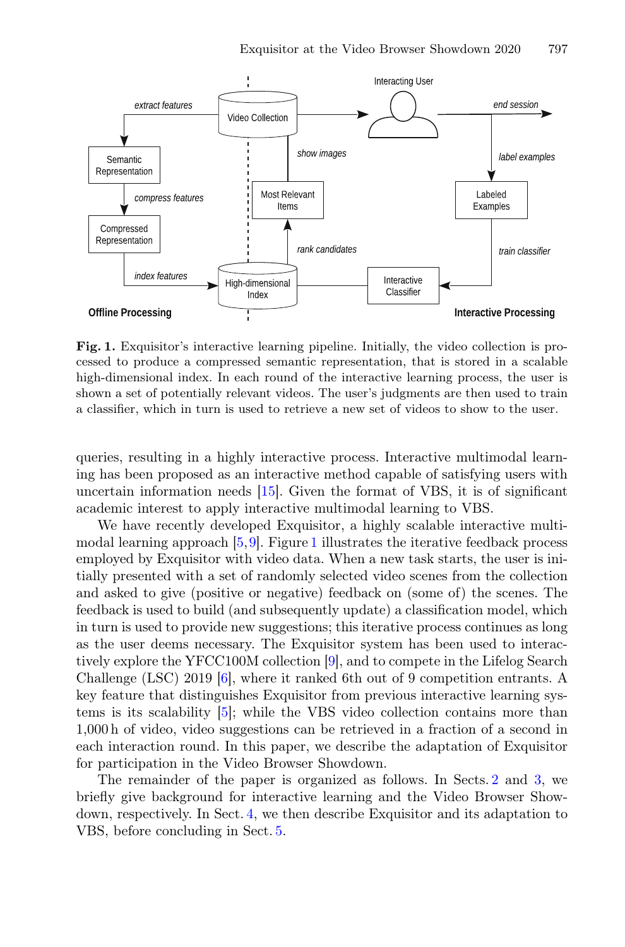

<span id="page-2-0"></span>Fig. 1. Exquisitor's interactive learning pipeline. Initially, the video collection is processed to produce a compressed semantic representation, that is stored in a scalable high-dimensional index. In each round of the interactive learning process, the user is shown a set of potentially relevant videos. The user's judgments are then used to train a classifier, which in turn is used to retrieve a new set of videos to show to the user.

queries, resulting in a highly interactive process. Interactive multimodal learning has been proposed as an interactive method capable of satisfying users with uncertain information needs [\[15\]](#page-7-0). Given the format of VBS, it is of significant academic interest to apply interactive multimodal learning to VBS.

We have recently developed Exquisitor, a highly scalable interactive multimodal learning approach [\[5](#page-6-0)[,9](#page-6-1)]. Figure [1](#page-2-0) illustrates the iterative feedback process employed by Exquisitor with video data. When a new task starts, the user is initially presented with a set of randomly selected video scenes from the collection and asked to give (positive or negative) feedback on (some of) the scenes. The feedback is used to build (and subsequently update) a classification model, which in turn is used to provide new suggestions; this iterative process continues as long as the user deems necessary. The Exquisitor system has been used to interactively explore the YFCC100M collection [\[9\]](#page-6-1), and to compete in the Lifelog Search Challenge (LSC) 2019 [\[6](#page-6-2)], where it ranked 6th out of 9 competition entrants. A key feature that distinguishes Exquisitor from previous interactive learning systems is its scalability [\[5\]](#page-6-0); while the VBS video collection contains more than 1,000 h of video, video suggestions can be retrieved in a fraction of a second in each interaction round. In this paper, we describe the adaptation of Exquisitor for participation in the Video Browser Showdown.

The remainder of the paper is organized as follows. In Sects. [2](#page-3-0) and [3,](#page-3-1) we briefly give background for interactive learning and the Video Browser Showdown, respectively. In Sect. [4,](#page-4-0) we then describe Exquisitor and its adaptation to VBS, before concluding in Sect. [5.](#page-5-0)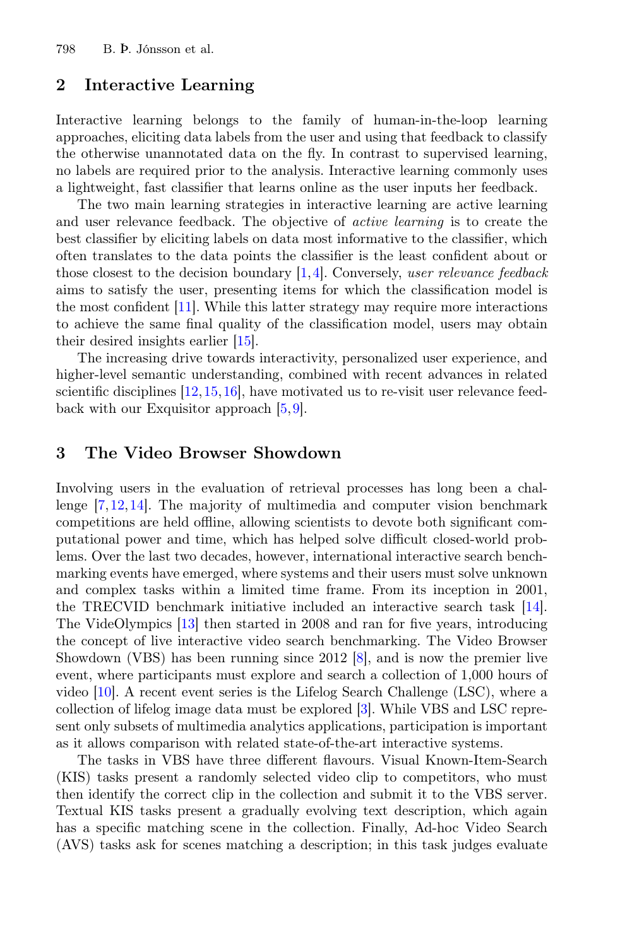#### <span id="page-3-0"></span>2 Interactive Learning

Interactive learning belongs to the family of human-in-the-loop learning approaches, eliciting data labels from the user and using that feedback to classify the otherwise unannotated data on the fly. In contrast to supervised learning, no labels are required prior to the analysis. Interactive learning commonly uses a lightweight, fast classifier that learns online as the user inputs her feedback.

The two main learning strategies in interactive learning are active learning and user relevance feedback. The objective of *active learning* is to create the best classifier by eliciting labels on data most informative to the classifier, which often translates to the data points the classifier is the least confident about or those closest to the decision boundary [\[1](#page-6-3)[,4](#page-6-4)]. Conversely, *user relevance feedback* aims to satisfy the user, presenting items for which the classification model is the most confident [\[11](#page-6-5)]. While this latter strategy may require more interactions to achieve the same final quality of the classification model, users may obtain their desired insights earlier [\[15\]](#page-7-0).

The increasing drive towards interactivity, personalized user experience, and higher-level semantic understanding, combined with recent advances in related scientific disciplines [\[12](#page-6-6)[,15](#page-7-0)[,16](#page-7-1)], have motivated us to re-visit user relevance feedback with our Exquisitor approach [\[5](#page-6-0),[9\]](#page-6-1).

#### <span id="page-3-1"></span>3 The Video Browser Showdown

Involving users in the evaluation of retrieval processes has long been a challenge [\[7,](#page-6-7)[12,](#page-6-6)[14](#page-6-8)]. The majority of multimedia and computer vision benchmark competitions are held offline, allowing scientists to devote both significant computational power and time, which has helped solve difficult closed-world problems. Over the last two decades, however, international interactive search benchmarking events have emerged, where systems and their users must solve unknown and complex tasks within a limited time frame. From its inception in 2001, the TRECVID benchmark initiative included an interactive search task [\[14\]](#page-6-8). The VideOlympics [\[13](#page-6-9)] then started in 2008 and ran for five years, introducing the concept of live interactive video search benchmarking. The Video Browser Showdown (VBS) has been running since 2012 [\[8\]](#page-6-10), and is now the premier live event, where participants must explore and search a collection of 1,000 hours of video [\[10](#page-6-11)]. A recent event series is the Lifelog Search Challenge (LSC), where a collection of lifelog image data must be explored [\[3\]](#page-6-12). While VBS and LSC represent only subsets of multimedia analytics applications, participation is important as it allows comparison with related state-of-the-art interactive systems.

The tasks in VBS have three different flavours. Visual Known-Item-Search (KIS) tasks present a randomly selected video clip to competitors, who must then identify the correct clip in the collection and submit it to the VBS server. Textual KIS tasks present a gradually evolving text description, which again has a specific matching scene in the collection. Finally, Ad-hoc Video Search (AVS) tasks ask for scenes matching a description; in this task judges evaluate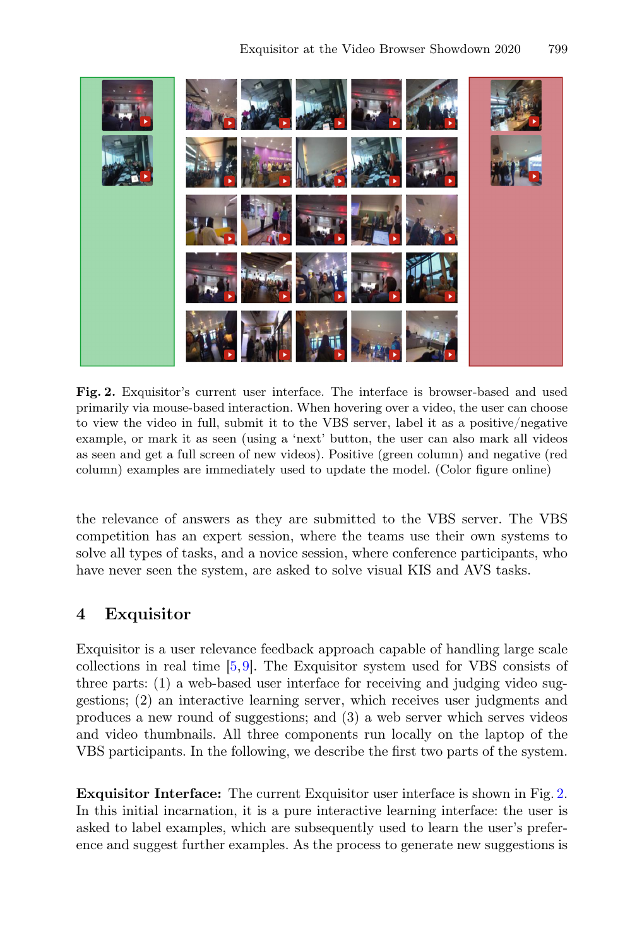

Fig. 2. Exquisitor's current user interface. The interface is browser-based and used primarily via mouse-based interaction. When hovering over a video, the user can choose to view the video in full, submit it to the VBS server, label it as a positive/negative example, or mark it as seen (using a 'next' button, the user can also mark all videos as seen and get a full screen of new videos). Positive (green column) and negative (red column) examples are immediately used to update the model. (Color figure online)

<span id="page-4-1"></span>the relevance of answers as they are submitted to the VBS server. The VBS competition has an expert session, where the teams use their own systems to solve all types of tasks, and a novice session, where conference participants, who have never seen the system, are asked to solve visual KIS and AVS tasks.

### <span id="page-4-0"></span>4 Exquisitor

Exquisitor is a user relevance feedback approach capable of handling large scale collections in real time [\[5,](#page-6-0)[9\]](#page-6-1). The Exquisitor system used for VBS consists of three parts: (1) a web-based user interface for receiving and judging video suggestions; (2) an interactive learning server, which receives user judgments and produces a new round of suggestions; and (3) a web server which serves videos and video thumbnails. All three components run locally on the laptop of the VBS participants. In the following, we describe the first two parts of the system.

Exquisitor Interface: The current Exquisitor user interface is shown in Fig. [2.](#page-4-1) In this initial incarnation, it is a pure interactive learning interface: the user is asked to label examples, which are subsequently used to learn the user's preference and suggest further examples. As the process to generate new suggestions is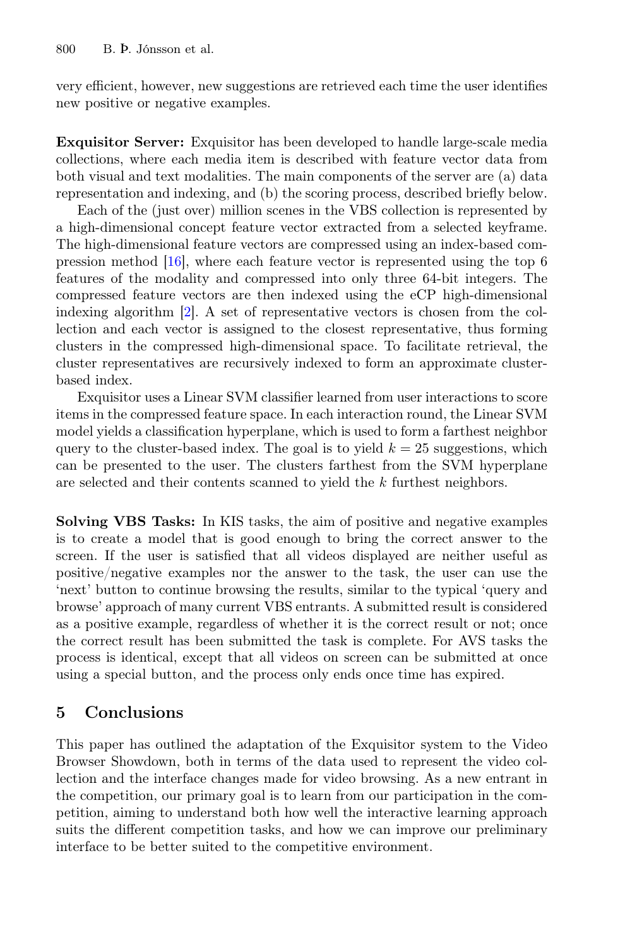very efficient, however, new suggestions are retrieved each time the user identifies new positive or negative examples.

Exquisitor Server: Exquisitor has been developed to handle large-scale media collections, where each media item is described with feature vector data from both visual and text modalities. The main components of the server are (a) data representation and indexing, and (b) the scoring process, described briefly below.

Each of the (just over) million scenes in the VBS collection is represented by a high-dimensional concept feature vector extracted from a selected keyframe. The high-dimensional feature vectors are compressed using an index-based compression method [\[16\]](#page-7-1), where each feature vector is represented using the top 6 features of the modality and compressed into only three 64-bit integers. The compressed feature vectors are then indexed using the eCP high-dimensional indexing algorithm [\[2](#page-6-13)]. A set of representative vectors is chosen from the collection and each vector is assigned to the closest representative, thus forming clusters in the compressed high-dimensional space. To facilitate retrieval, the cluster representatives are recursively indexed to form an approximate clusterbased index.

Exquisitor uses a Linear SVM classifier learned from user interactions to score items in the compressed feature space. In each interaction round, the Linear SVM model yields a classification hyperplane, which is used to form a farthest neighbor query to the cluster-based index. The goal is to yield  $k = 25$  suggestions, which can be presented to the user. The clusters farthest from the SVM hyperplane are selected and their contents scanned to yield the *k* furthest neighbors.

Solving VBS Tasks: In KIS tasks, the aim of positive and negative examples is to create a model that is good enough to bring the correct answer to the screen. If the user is satisfied that all videos displayed are neither useful as positive/negative examples nor the answer to the task, the user can use the 'next' button to continue browsing the results, similar to the typical 'query and browse' approach of many current VBS entrants. A submitted result is considered as a positive example, regardless of whether it is the correct result or not; once the correct result has been submitted the task is complete. For AVS tasks the process is identical, except that all videos on screen can be submitted at once using a special button, and the process only ends once time has expired.

# <span id="page-5-0"></span>5 Conclusions

This paper has outlined the adaptation of the Exquisitor system to the Video Browser Showdown, both in terms of the data used to represent the video collection and the interface changes made for video browsing. As a new entrant in the competition, our primary goal is to learn from our participation in the competition, aiming to understand both how well the interactive learning approach suits the different competition tasks, and how we can improve our preliminary interface to be better suited to the competitive environment.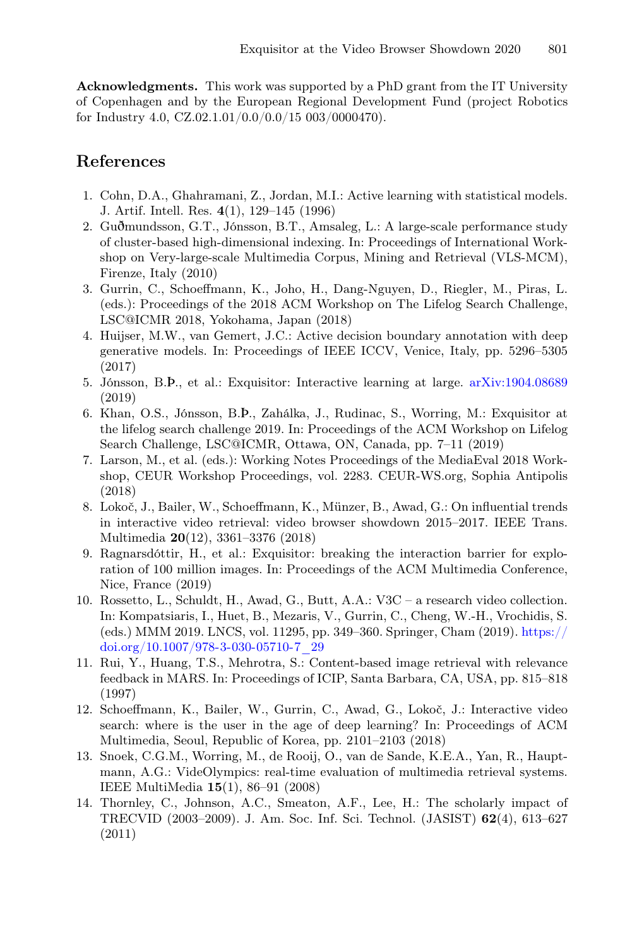Acknowledgments. This work was supported by a PhD grant from the IT University of Copenhagen and by the European Regional Development Fund (project Robotics for Industry 4.0, CZ.02.1.01/0.0/0.0/15 003/0000470).

# References

- <span id="page-6-3"></span>1. Cohn, D.A., Ghahramani, Z., Jordan, M.I.: Active learning with statistical models. J. Artif. Intell. Res. 4(1), 129–145 (1996)
- <span id="page-6-13"></span>2. Guðmundsson, G.T., Jónsson, B.T., Amsaleg, L.: A large-scale performance study of cluster-based high-dimensional indexing. In: Proceedings of International Workshop on Very-large-scale Multimedia Corpus, Mining and Retrieval (VLS-MCM), Firenze, Italy (2010)
- <span id="page-6-12"></span>3. Gurrin, C., Schoeffmann, K., Joho, H., Dang-Nguyen, D., Riegler, M., Piras, L. (eds.): Proceedings of the 2018 ACM Workshop on The Lifelog Search Challenge, LSC@ICMR 2018, Yokohama, Japan (2018)
- <span id="page-6-4"></span>4. Huijser, M.W., van Gemert, J.C.: Active decision boundary annotation with deep generative models. In: Proceedings of IEEE ICCV, Venice, Italy, pp. 5296–5305 (2017)
- <span id="page-6-0"></span>5. Jónsson, B.Þ., et al.: Exquisitor: Interactive learning at large. [arXiv:1904.08689](http://arxiv.org/abs/1904.08689) (2019)
- <span id="page-6-2"></span>6. Khan, O.S., Jónsson, B.Þ., Zahálka, J., Rudinac, S., Worring, M.: Exquisitor at the lifelog search challenge 2019. In: Proceedings of the ACM Workshop on Lifelog Search Challenge, LSC@ICMR, Ottawa, ON, Canada, pp. 7–11 (2019)
- <span id="page-6-7"></span>7. Larson, M., et al. (eds.): Working Notes Proceedings of the MediaEval 2018 Workshop, CEUR Workshop Proceedings, vol. 2283. CEUR-WS.org, Sophia Antipolis (2018)
- <span id="page-6-10"></span>8. Lokoč, J., Bailer, W., Schoeffmann, K., Münzer, B., Awad, G.: On influential trends in interactive video retrieval: video browser showdown 2015–2017. IEEE Trans. Multimedia 20(12), 3361–3376 (2018)
- <span id="page-6-1"></span>9. Ragnarsdóttir, H., et al.: Exquisitor: breaking the interaction barrier for exploration of 100 million images. In: Proceedings of the ACM Multimedia Conference, Nice, France (2019)
- <span id="page-6-11"></span>10. Rossetto, L., Schuldt, H., Awad, G., Butt, A.A.: V3C – a research video collection. In: Kompatsiaris, I., Huet, B., Mezaris, V., Gurrin, C., Cheng, W.-H., Vrochidis, S. (eds.) MMM 2019. LNCS, vol. 11295, pp. 349–360. Springer, Cham (2019). [https://](https://doi.org/10.1007/978-3-030-05710-7_29) [doi.org/10.1007/978-3-030-05710-7\\_29](https://doi.org/10.1007/978-3-030-05710-7_29)
- <span id="page-6-5"></span>11. Rui, Y., Huang, T.S., Mehrotra, S.: Content-based image retrieval with relevance feedback in MARS. In: Proceedings of ICIP, Santa Barbara, CA, USA, pp. 815–818 (1997)
- <span id="page-6-6"></span>12. Schoeffmann, K., Bailer, W., Gurrin, C., Awad, G., Lokoč, J.: Interactive video search: where is the user in the age of deep learning? In: Proceedings of ACM Multimedia, Seoul, Republic of Korea, pp. 2101–2103 (2018)
- <span id="page-6-9"></span>13. Snoek, C.G.M., Worring, M., de Rooij, O., van de Sande, K.E.A., Yan, R., Hauptmann, A.G.: VideOlympics: real-time evaluation of multimedia retrieval systems. IEEE MultiMedia 15(1), 86–91 (2008)
- <span id="page-6-8"></span>14. Thornley, C., Johnson, A.C., Smeaton, A.F., Lee, H.: The scholarly impact of TRECVID (2003–2009). J. Am. Soc. Inf. Sci. Technol. (JASIST) 62(4), 613–627 (2011)